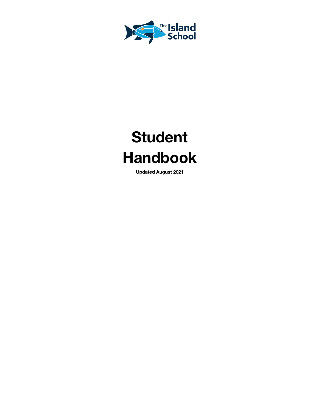

# **Student Handbook**

**Updated August 2021**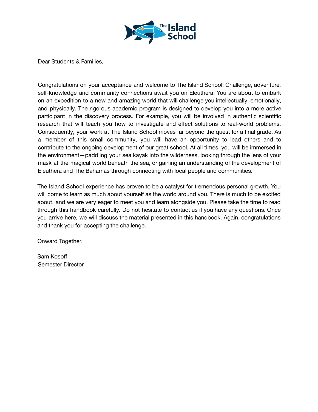

Dear Students & Families,

Congratulations on your acceptance and welcome to The Island School! Challenge, adventure, self-knowledge and community connections await you on Eleuthera. You are about to embark on an expedition to a new and amazing world that will challenge you intellectually, emotionally, and physically. The rigorous academic program is designed to develop you into a more active participant in the discovery process. For example, you will be involved in authentic scientific research that will teach you how to investigate and effect solutions to real-world problems. Consequently, your work at The Island School moves far beyond the quest for a final grade. As a member of this small community, you will have an opportunity to lead others and to contribute to the ongoing development of our great school. At all times, you will be immersed in the environment—paddling your sea kayak into the wilderness, looking through the lens of your mask at the magical world beneath the sea, or gaining an understanding of the development of Eleuthera and The Bahamas through connecting with local people and communities.

The Island School experience has proven to be a catalyst for tremendous personal growth. You will come to learn as much about yourself as the world around you. There is much to be excited about, and we are very eager to meet you and learn alongside you. Please take the time to read through this handbook carefully. Do not hesitate to contact us if you have any questions. Once you arrive here, we will discuss the material presented in this handbook. Again, congratulations and thank you for accepting the challenge.

Onward Together,

Sam Kosoff Semester Director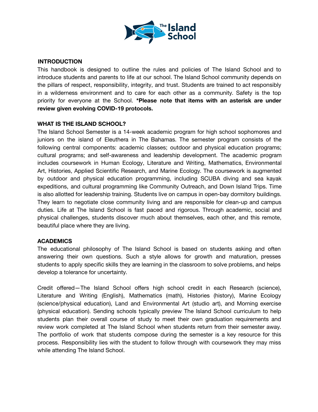

#### **INTRODUCTION**

This handbook is designed to outline the rules and policies of The Island School and to introduce students and parents to life at our school. The Island School community depends on the pillars of respect, responsibility, integrity, and trust. Students are trained to act responsibly in a wilderness environment and to care for each other as a community. Safety is the top priority for everyone at the School. **\*Please note that items with an asterisk are under review given evolving COVID-19 protocols.**

## **WHAT IS THE ISLAND SCHOOL?**

The Island School Semester is a 14-week academic program for high school sophomores and juniors on the island of Eleuthera in The Bahamas. The semester program consists of the following central components: academic classes; outdoor and physical education programs; cultural programs; and self-awareness and leadership development. The academic program includes coursework in Human Ecology, Literature and Writing, Mathematics, Environmental Art, Histories, Applied Scientific Research, and Marine Ecology. The coursework is augmented by outdoor and physical education programming, including SCUBA diving and sea kayak expeditions, and cultural programming like Community Outreach, and Down Island Trips. Time is also allotted for leadership training. Students live on campus in open-bay dormitory buildings. They learn to negotiate close community living and are responsible for clean-up and campus duties. Life at The Island School is fast paced and rigorous. Through academic, social and physical challenges, students discover much about themselves, each other, and this remote, beautiful place where they are living.

#### **ACADEMICS**

The educational philosophy of The Island School is based on students asking and often answering their own questions. Such a style allows for growth and maturation, presses students to apply specific skills they are learning in the classroom to solve problems, and helps develop a tolerance for uncertainty.

Credit offered—The Island School offers high school credit in each Research (science), Literature and Writing (English), Mathematics (math), Histories (history), Marine Ecology (science/physical education), Land and Environmental Art (studio art), and Morning exercise (physical education). Sending schools typically preview The Island School curriculum to help students plan their overall course of study to meet their own graduation requirements and review work completed at The Island School when students return from their semester away. The portfolio of work that students compose during the semester is a key resource for this process. Responsibility lies with the student to follow through with coursework they may miss while attending The Island School.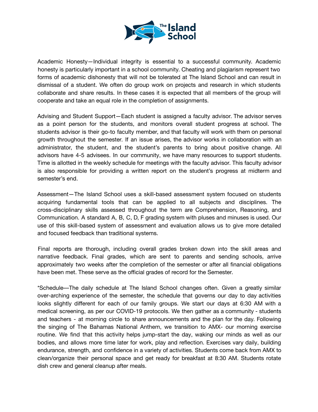

Academic Honesty—Individual integrity is essential to a successful community. Academic honesty is particularly important in a school community. Cheating and plagiarism represent two forms of academic dishonesty that will not be tolerated at The Island School and can result in dismissal of a student. We often do group work on projects and research in which students collaborate and share results. In these cases it is expected that all members of the group will cooperate and take an equal role in the completion of assignments.

Advising and Student Support—Each student is assigned a faculty advisor. The advisor serves as a point person for the students, and monitors overall student progress at school. The students advisor is their go-to faculty member, and that faculty will work with them on personal growth throughout the semester. If an issue arises, the advisor works in collaboration with an administrator, the student, and the student's parents to bring about positive change. All advisors have 4-5 advisees. In our community, we have many resources to support students. Time is allotted in the weekly schedule for meetings with the faculty advisor. This faculty advisor is also responsible for providing a written report on the student's progress at midterm and semester's end.

Assessment—The Island School uses a skill-based assessment system focused on students acquiring fundamental tools that can be applied to all subjects and disciplines. The cross-disciplinary skills assessed throughout the term are Comprehension, Reasoning, and Communication. A standard A, B, C, D, F grading system with pluses and minuses is used. Our use of this skill-based system of assessment and evaluation allows us to give more detailed and focused feedback than traditional systems.

Final reports are thorough, including overall grades broken down into the skill areas and narrative feedback. Final grades, which are sent to parents and sending schools, arrive approximately two weeks after the completion of the semester or after all financial obligations have been met. These serve as the official grades of record for the Semester.

\*Schedule––The daily schedule at The Island School changes often. Given a greatly similar over-arching experience of the semester, the schedule that governs our day to day activities looks slightly different for each of our family groups. We start our days at 6:30 AM with a medical screening, as per our COVID-19 protocols. We then gather as a community - students and teachers - at morning circle to share announcements and the plan for the day. Following the singing of The Bahamas National Anthem, we transition to AMX- our morning exercise routine. We find that this activity helps jump-start the day, waking our minds as well as our bodies, and allows more time later for work, play and reflection. Exercises vary daily, building endurance, strength, and confidence in a variety of activities. Students come back from AMX to clean/organize their personal space and get ready for breakfast at 8:30 AM. Students rotate dish crew and general cleanup after meals.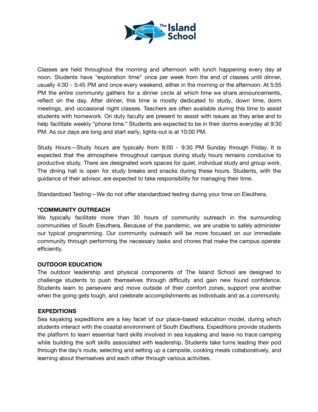

Classes are held throughout the morning and afternoon with lunch happening every day at noon. Students have "exploration time" once per week from the end of classes until dinner, usually 4:30 - 5:45 PM and once every weekend, either in the morning or the afternoon. At 5:55 PM the entire community gathers for a dinner circle at which time we share announcements, reflect on the day. After dinner, this time is mostly dedicated to study, down time, dorm meetings, and occasional night classes. Teachers are often available during this time to assist students with homework. On duty faculty are present to assist with issues as they arise and to help facilitate weekly "phone time." Students are expected to be in their dorms everyday at 9:30 PM. As our days are long and start early, lights-out is at 10:00 PM.

Study Hours—Study hours are typically from 8:00 - 9:30 PM Sunday through Friday. It is expected that the atmosphere throughout campus during study hours remains conducive to productive study. There are designated work spaces for quiet, individual study and group work. The dining hall is open for study breaks and snacks during these hours. Students, with the guidance of their advisor, are expected to take responsibility for managing their time.

Standardized Testing—We do not offer standardized testing during your time on Eleuthera.

## **\*COMMUNITY OUTREACH**

We typically facilitate more than 30 hours of community outreach in the surrounding communities of South Eleuthera. Because of the pandemic, we are unable to safely administer our typical programming. Our community outreach will be more focused on our immediate community through performing the necessary tasks and chores that make the campus operate efficiently.

## **OUTDOOR EDUCATION**

The outdoor leadership and physical components of The Island School are designed to challenge students to push themselves through difficulty and gain new found confidence. Students learn to persevere and move outside of their comfort zones, support one another when the going gets tough, and celebrate accomplishments as individuals and as a community.

#### **EXPEDITIONS**

Sea kayaking expeditions are a key facet of our place-based education model, during which students interact with the coastal environment of South Eleuthera. Expeditions provide students the platform to learn essential hard skills involved in sea kayaking and leave no trace camping while building the soft skills associated with leadership. Students take turns leading their pod through the day's route, selecting and setting up a campsite, cooking meals collaboratively, and learning about themselves and each other through various activities.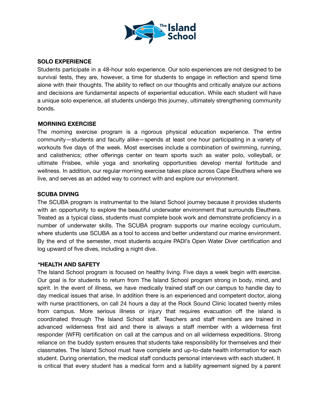

#### **SOLO EXPERIENCE**

Students participate in a 48-hour solo experience. Our solo experiences are not designed to be survival tests, they are, however, a time for students to engage in reflection and spend time alone with their thoughts. The ability to reflect on our thoughts and critically analyze our actions and decisions are fundamental aspects of experiential education. While each student will have a unique solo experience, all students undergo this journey, ultimately strengthening community bonds.

#### **MORNING EXERCISE**

The morning exercise program is a rigorous physical education experience. The entire community—students and faculty alike—spends at least one hour participating in a variety of workouts five days of the week. Most exercises include a combination of swimming, running, and calisthenics; other offerings center on team sports such as water polo, volleyball, or ultimate Frisbee, while yoga and snorkeling opportunities develop mental fortitude and wellness. In addition, our regular morning exercise takes place across Cape Eleuthera where we live, and serves as an added way to connect with and explore our environment.

#### **SCUBA DIVING**

The SCUBA program is instrumental to the Island School journey because it provides students with an opportunity to explore the beautiful underwater environment that surrounds Eleuthera. Treated as a typical class, students must complete book work and demonstrate proficiency in a number of underwater skills. The SCUBA program supports our marine ecology curriculum, where students use SCUBA as a tool to access and better understand our marine environment. By the end of the semester, most students acquire PADI's Open Water Diver certification and log upward of five dives, including a night dive.

#### **\*HEALTH AND SAFETY**

The Island School program is focused on healthy living. Five days a week begin with exercise. Our goal is for students to return from The Island School program strong in body, mind, and spirit. In the event of illness, we have medically trained staff on our campus to handle day to day medical issues that arise. In addition there is an experienced and competent doctor, along with nurse practitioners, on call 24 hours a day at the Rock Sound Clinic located twenty miles from campus. More serious illness or injury that requires evacuation off the island is coordinated through The Island School staff. Teachers and staff members are trained in advanced wilderness first aid and there is always a staff member with a wilderness first responder (WFR) certification on call at the campus and on all wilderness expeditions. Strong reliance on the buddy system ensures that students take responsibility for themselves and their classmates. The Island School must have complete and up-to-date health information for each student. During orientation, the medical staff conducts personal interviews with each student. It is critical that every student has a medical form and a liability agreement signed by a parent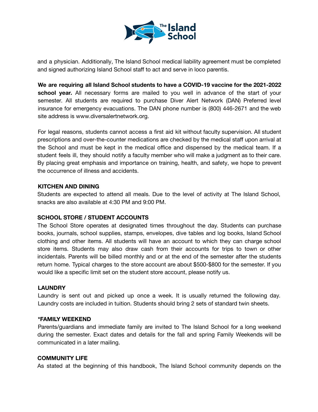

and a physician. Additionally, The Island School medical liability agreement must be completed and signed authorizing Island School staff to act and serve in loco parentis.

**We are requiring all Island School students to have a COVID-19 vaccine for the 2021-2022 school year.** All necessary forms are mailed to you well in advance of the start of your semester. All students are required to purchase Diver Alert Network (DAN) Preferred level insurance for emergency evacuations. The DAN phone number is (800) 446-2671 and the web site address is www.diversalertnetwork.org.

For legal reasons, students cannot access a first aid kit without faculty supervision. All student prescriptions and over-the-counter medications are checked by the medical staff upon arrival at the School and must be kept in the medical office and dispensed by the medical team. If a student feels ill, they should notify a faculty member who will make a judgment as to their care. By placing great emphasis and importance on training, health, and safety, we hope to prevent the occurrence of illness and accidents.

#### **KITCHEN AND DINING**

Students are expected to attend all meals. Due to the level of activity at The Island School, snacks are also available at 4:30 PM and 9:00 PM.

## **SCHOOL STORE / STUDENT ACCOUNTS**

The School Store operates at designated times throughout the day. Students can purchase books, journals, school supplies, stamps, envelopes, dive tables and log books, Island School clothing and other items. All students will have an account to which they can charge school store items. Students may also draw cash from their accounts for trips to town or other incidentals. Parents will be billed monthly and or at the end of the semester after the students return home. Typical charges to the store account are about \$500-\$800 for the semester. If you would like a specific limit set on the student store account, please notify us.

#### **LAUNDRY**

Laundry is sent out and picked up once a week. It is usually returned the following day. Laundry costs are included in tuition. Students should bring 2 sets of standard twin sheets.

#### **\*FAMILY WEEKEND**

Parents/guardians and immediate family are invited to The Island School for a long weekend during the semester. Exact dates and details for the fall and spring Family Weekends will be communicated in a later mailing.

#### **COMMUNITY LIFE**

As stated at the beginning of this handbook, The Island School community depends on the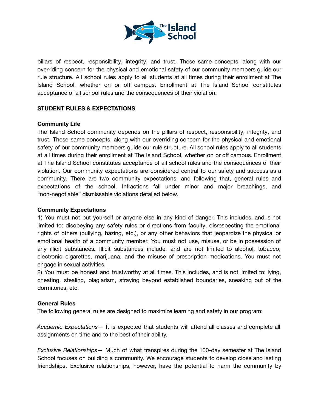

pillars of respect, responsibility, integrity, and trust. These same concepts, along with our overriding concern for the physical and emotional safety of our community members guide our rule structure. All school rules apply to all students at all times during their enrollment at The Island School, whether on or off campus. Enrollment at The Island School constitutes acceptance of all school rules and the consequences of their violation.

## **STUDENT RULES & EXPECTATIONS**

#### **Community Life**

The Island School community depends on the pillars of respect, responsibility, integrity, and trust. These same concepts, along with our overriding concern for the physical and emotional safety of our community members guide our rule structure. All school rules apply to all students at all times during their enrollment at The Island School, whether on or off campus. Enrollment at The Island School constitutes acceptance of all school rules and the consequences of their violation. Our community expectations are considered central to our safety and success as a community. There are two community expectations, and following that, general rules and expectations of the school. Infractions fall under minor and major breachings, and "non-negotiable" dismissable violations detailed below.

## **Community Expectations**

1) You must not put yourself or anyone else in any kind of danger. This includes, and is not limited to: disobeying any safety rules or directions from faculty, disrespecting the emotional rights of others (bullying, hazing, etc.), or any other behaviors that jeopardize the physical or emotional health of a community member. You must not use, misuse, or be in possession of any illicit substances**.** Illicit substances include, and are not limited to alcohol, tobacco, electronic cigarettes, marijuana, and the misuse of prescription medications. You must not engage in sexual activities.

2) You must be honest and trustworthy at all times. This includes, and is not limited to: lying, cheating, stealing, plagiarism, straying beyond established boundaries, sneaking out of the dormitories, etc.

## **General Rules**

The following general rules are designed to maximize learning and safety in our program:

*Academic Expectations—* It is expected that students will attend all classes and complete all assignments on time and to the best of their ability.

*Exclusive Relationships—* Much of what transpires during the 100-day semester at The Island School focuses on building a community. We encourage students to develop close and lasting friendships. Exclusive relationships, however, have the potential to harm the community by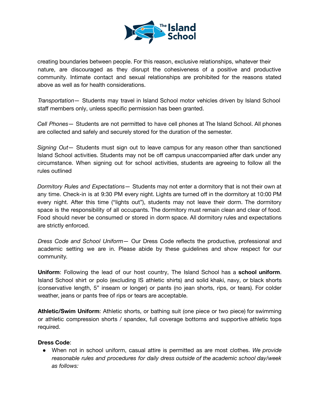

creating boundaries between people. For this reason, exclusive relationships, whatever their nature, are discouraged as they disrupt the cohesiveness of a positive and productive community. Intimate contact and sexual relationships are prohibited for the reasons stated above as well as for health considerations.

*Transportation—* Students may travel in Island School motor vehicles driven by Island School staff members only, unless specific permission has been granted.

*Cell Phones—* Students are not permitted to have cell phones at The Island School. All phones are collected and safely and securely stored for the duration of the semester.

*Signing Out—* Students must sign out to leave campus for any reason other than sanctioned Island School activities. Students may not be off campus unaccompanied after dark under any circumstance. When signing out for school activities, students are agreeing to follow all the rules outlined

*Dormitory Rules and Expectations—* Students may not enter a dormitory that is not their own at any time. Check-in is at 9:30 PM every night. Lights are turned off in the dormitory at 10:00 PM every night. After this time ("lights out"), students may not leave their dorm. The dormitory space is the responsibility of all occupants. The dormitory must remain clean and clear of food. Food should never be consumed or stored in dorm space. All dormitory rules and expectations are strictly enforced.

*Dress Code and School Uniform—* Our Dress Code reflects the productive, professional and academic setting we are in. Please abide by these guidelines and show respect for our community.

**Uniform**: Following the lead of our host country, The Island School has a **school uniform**. Island School shirt or polo (excluding IS athletic shirts) and solid khaki, navy, or black shorts (conservative length, 5" inseam or longer) or pants (no jean shorts, rips, or tears). For colder weather, jeans or pants free of rips or tears are acceptable.

**Athletic/Swim Uniform**: Athletic shorts, or bathing suit (one piece or two piece) for swimming or athletic compression shorts / spandex, full coverage bottoms and supportive athletic tops required.

## **Dress Code**:

● When not in school uniform, casual attire is permitted as are most clothes. *We provide reasonable rules and procedures for daily dress outside of the academic school day/week as follows:*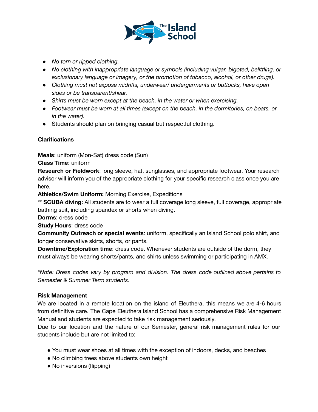

- *● No torn or ripped clothing.*
- *● No clothing with inappropriate language or symbols (including vulgar, bigoted, belittling, or exclusionary language or imagery, or the promotion of tobacco, alcohol, or other drugs).*
- *● Clothing must not expose midriffs, underwear/ undergarments or buttocks, have open sides or be transparent/shear.*
- *● Shirts must be worn except at the beach, in the water or when exercising.*
- *● Footwear must be worn at all times (except on the beach, in the dormitories, on boats, or in the water).*
- Students should plan on bringing casual but respectful clothing.

# **Clarifications**

**Meals**: uniform (Mon-Sat) dress code (Sun)

## **Class Time**: uniform

**Research or Fieldwork**: long sleeve, hat, sunglasses, and appropriate footwear. Your research advisor will inform you of the appropriate clothing for your specific research class once you are here.

**Athletics/Swim Uniform:** Morning Exercise, Expeditions

\*\* **SCUBA diving:** All students are to wear a full coverage long sleeve, full coverage, appropriate bathing suit, including spandex or shorts when diving.

**Dorms**: dress code

**Study Hours**: dress code

**Community Outreach or special events**: uniform, specifically an Island School polo shirt, and longer conservative skirts, shorts, or pants.

**Downtime/Exploration time**: dress code. Whenever students are outside of the dorm, they must always be wearing shorts/pants, and shirts unless swimming or participating in AMX.

*\*Note: Dress codes vary by program and division. The dress code outlined above pertains to Semester & Summer Term students.*

## **Risk Management**

We are located in a remote location on the island of Eleuthera, this means we are 4-6 hours from definitive care. The Cape Eleuthera Island School has a comprehensive Risk Management Manual and students are expected to take risk management seriously.

Due to our location and the nature of our Semester, general risk management rules for our students include but are not limited to:

- You must wear shoes at all times with the exception of indoors, decks, and beaches
- No climbing trees above students own height
- No inversions (flipping)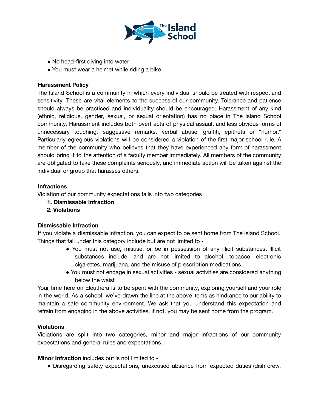

- No head-first diving into water
- You must wear a helmet while riding a bike

## **Harassment Policy**

The Island School is a community in which every individual should be treated with respect and sensitivity. These are vital elements to the success of our community. Tolerance and patience should always be practiced and individuality should be encouraged. Harassment of any kind (ethnic, religious, gender, sexual, or sexual orientation) has no place in The Island School community. Harassment includes both overt acts of physical assault and less obvious forms of unnecessary touching, suggestive remarks, verbal abuse, graffiti, epithets or "humor." Particularly egregious violations will be considered a violation of the first major school rule. A member of the community who believes that they have experienced any form of harassment should bring it to the attention of a faculty member immediately. All members of the community are obligated to take these complaints seriously, and immediate action will be taken against the individual or group that harasses others.

## **Infractions**

Violation of our community expectations falls into two categories

- **1. Dismissable Infraction**
- **2. Violations**

## **Dismissable Infraction**

If you violate a dismissable infraction, you can expect to be sent home from The Island School. Things that fall under this category include but are not limited to -

- You must not use, misuse, or be in possession of any illicit substances**.** Illicit substances include, and are not limited to alcohol, tobacco, electronic cigarettes, marijuana, and the misuse of prescription medications.
- You must not engage in sexual activities sexual activities are considered anything below the waist

Your time here on Eleuthera is to be spent with the community, exploring yourself and your role in the world. As a school, we've drawn the line at the above items as hindrance to our ability to maintain a safe community environment. We ask that you understand this expectation and refrain from engaging in the above activities, if not, you may be sent home from the program.

## **Violations**

Violations are split into two categories, minor and major infractions of our community expectations and general rules and expectations.

**Minor Infraction** includes but is not limited to **-**

● Disregarding safety expectations, unexcused absence from expected duties (dish crew,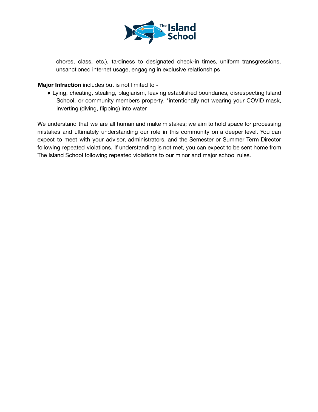

chores, class, etc.), tardiness to designated check-in times, uniform transgressions, unsanctioned internet usage, engaging in exclusive relationships

**Major Infraction** includes but is not limited to **-**

● Lying, cheating, stealing, plagiarism, leaving established boundaries, disrespecting Island School, or community members property, \*intentionally not wearing your COVID mask, inverting (diving, flipping) into water

We understand that we are all human and make mistakes; we aim to hold space for processing mistakes and ultimately understanding our role in this community on a deeper level. You can expect to meet with your advisor, administrators, and the Semester or Summer Term Director following repeated violations. If understanding is not met, you can expect to be sent home from The Island School following repeated violations to our minor and major school rules.